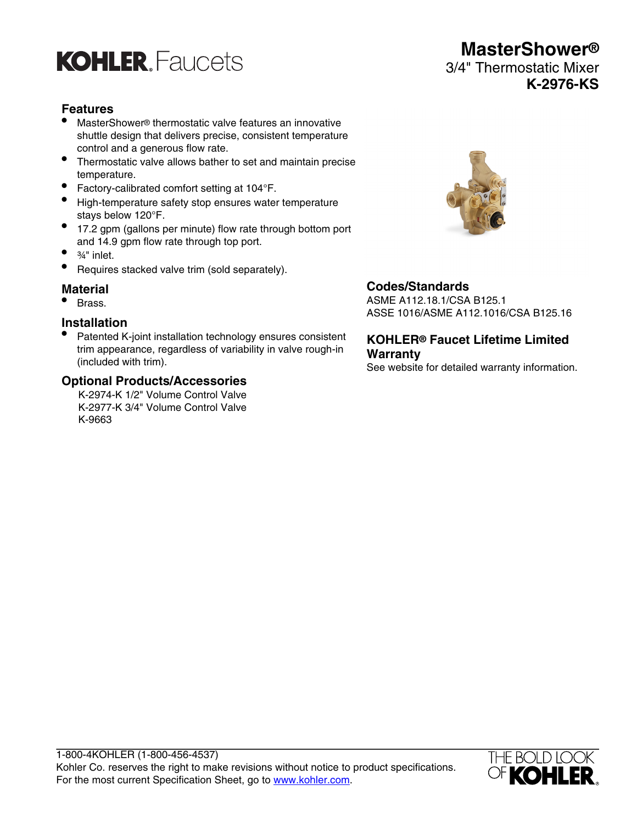

# **Features**

- MasterShower® thermostatic valve features an innovative shuttle design that delivers precise, consistent temperature control and a generous flow rate.
- Thermostatic valve allows bather to set and maintain precise temperature.
- Factory-calibrated comfort setting at 104°F.
- High-temperature safety stop ensures water temperature stays below 120°F.
- 17.2 gpm (gallons per minute) flow rate through bottom port and 14.9 gpm flow rate through top port.
- ¾" inlet.
- Requires stacked valve trim (sold separately).

#### **Material**

• Brass.

#### **Installation**

• Patented K-joint installation technology ensures consistent trim appearance, regardless of variability in valve rough-in (included with trim).

## **Optional Products/Accessories**

K-2974-K 1/2" Volume Control Valve K-2977-K 3/4" Volume Control Valve K-9663



## **Codes/Standards**

ASME A112.18.1/CSA B125.1 ASSE 1016/ASME A112.1016/CSA B125.16

## **KOHLER® Faucet Lifetime Limited Warranty**

See website for detailed warranty information.



**MasterShower®** 3/4" Thermostatic Mixer **K-2976-KS**